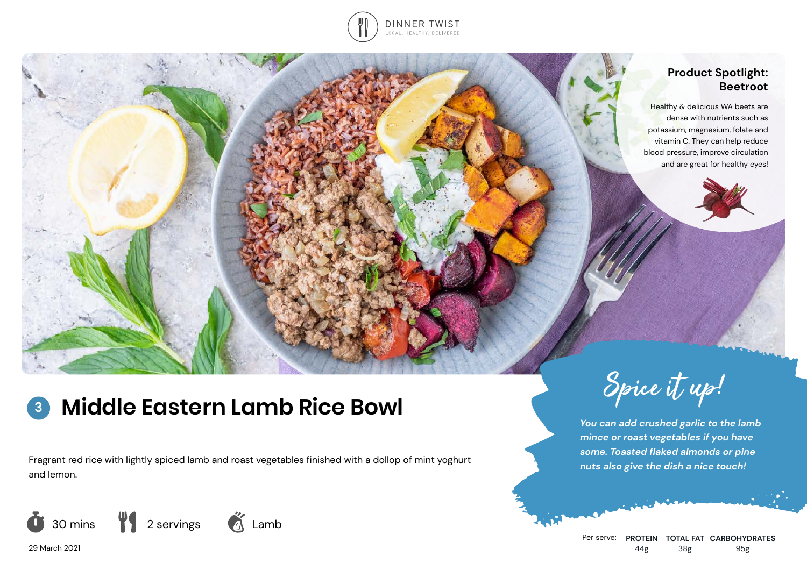

# **Product Spotlight: Beetroot**

Healthy & delicious WA beets are dense with nutrients such as potassium, magnesium, folate and vitamin C. They can help reduce blood pressure, improve circulation and are great for healthy eyes!

# **Middle Eastern Lamb Rice Bowl** Spice it up! **3**

*nuts also give the dish a nice touch!* Fragrant red rice with lightly spiced lamb and roast vegetables finished with a dollop of mint yoghurt and lemon.



29 March 2021



*You can add crushed garlic to the lamb mince or roast vegetables if you have some. Toasted flaked almonds or pine*